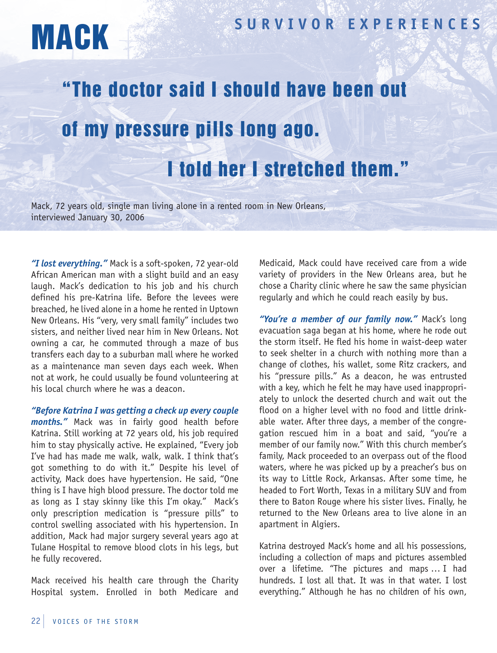

## **SUR V I V OR EX <sup>P</sup> ER <sup>I</sup> ENCES** MACK

## "The doctor said I should have been out of my pressure pills long ago. I told her I stretched them."

Mack, 72 years old, single man living alone in a rented room in New Orleans, interviewed January 30, 2006

*"I lost everything."* Mack is a soft-spoken, 72 year-old African American man with a slight build and an easy laugh. Mack's dedication to his job and his church defined his pre-Katrina life. Before the levees were breached, he lived alone in a home he rented in Uptown New Orleans. His "very, very small family" includes two sisters, and neither lived near him in New Orleans. Not owning a car, he commuted through a maze of bus transfers each day to a suburban mall where he worked as a maintenance man seven days each week. When not at work, he could usually be found volunteering at his local church where he was a deacon.

*"Before Katrina I was getting a check up every couple months."* Mack was in fairly good health before Katrina. Still working at 72 years old, his job required him to stay physically active. He explained, "Every job I've had has made me walk, walk, walk. I think that's got something to do with it." Despite his level of activity, Mack does have hypertension. He said, "One thing is I have high blood pressure. The doctor told me as long as I stay skinny like this I'm okay." Mack's only prescription medication is "pressure pills" to control swelling associated with his hypertension. In addition, Mack had major surgery several years ago at Tulane Hospital to remove blood clots in his legs, but he fully recovered.

Mack received his health care through the Charity Hospital system. Enrolled in both Medicare and

Medicaid, Mack could have received care from a wide variety of providers in the New Orleans area, but he chose a Charity clinic where he saw the same physician regularly and which he could reach easily by bus.

*"You're a member of our family now."* Mack's long evacuation saga began at his home, where he rode out the storm itself. He fled his home in waist-deep water to seek shelter in a church with nothing more than a change of clothes, his wallet, some Ritz crackers, and his "pressure pills." As a deacon, he was entrusted with a key, which he felt he may have used inappropriately to unlock the deserted church and wait out the flood on a higher level with no food and little drinkable water. After three days, a member of the congregation rescued him in a boat and said, "you're a member of our family now." With this church member's family, Mack proceeded to an overpass out of the flood waters, where he was picked up by a preacher's bus on its way to Little Rock, Arkansas. After some time, he headed to Fort Worth, Texas in a military SUV and from there to Baton Rouge where his sister lives. Finally, he returned to the New Orleans area to live alone in an apartment in Algiers.

Katrina destroyed Mack's home and all his possessions, including a collection of maps and pictures assembled over a lifetime. "The pictures and maps … I had hundreds. I lost all that. It was in that water. I lost everything." Although he has no children of his own,